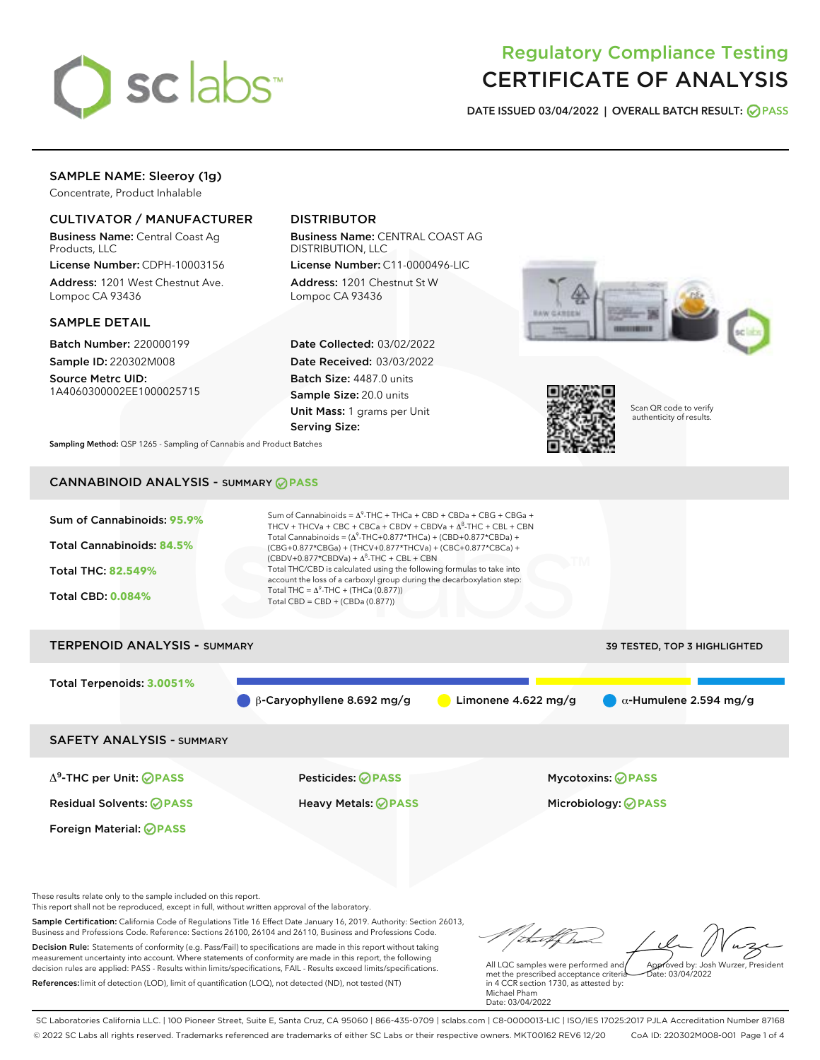

# Regulatory Compliance Testing CERTIFICATE OF ANALYSIS

DATE ISSUED 03/04/2022 | OVERALL BATCH RESULT: @ PASS

# SAMPLE NAME: Sleeroy (1g)

Concentrate, Product Inhalable

# CULTIVATOR / MANUFACTURER

Business Name: Central Coast Ag Products, LLC

License Number: CDPH-10003156 Address: 1201 West Chestnut Ave. Lompoc CA 93436

## SAMPLE DETAIL

Batch Number: 220000199 Sample ID: 220302M008

Source Metrc UID: 1A4060300002EE1000025715

# DISTRIBUTOR

Business Name: CENTRAL COAST AG DISTRIBUTION, LLC

License Number: C11-0000496-LIC Address: 1201 Chestnut St W Lompoc CA 93436

Date Collected: 03/02/2022 Date Received: 03/03/2022 Batch Size: 4487.0 units Sample Size: 20.0 units Unit Mass: 1 grams per Unit Serving Size:





Scan QR code to verify authenticity of results.

Sampling Method: QSP 1265 - Sampling of Cannabis and Product Batches

# CANNABINOID ANALYSIS - SUMMARY **PASS**



This report shall not be reproduced, except in full, without written approval of the laboratory.

Sample Certification: California Code of Regulations Title 16 Effect Date January 16, 2019. Authority: Section 26013, Business and Professions Code. Reference: Sections 26100, 26104 and 26110, Business and Professions Code. Decision Rule: Statements of conformity (e.g. Pass/Fail) to specifications are made in this report without taking

measurement uncertainty into account. Where statements of conformity are made in this report, the following decision rules are applied: PASS - Results within limits/specifications, FAIL - Results exceed limits/specifications. References:limit of detection (LOD), limit of quantification (LOQ), not detected (ND), not tested (NT)

All LQC samples were performed and met the prescribed acceptance criteria in 4 CCR section 1730, as attested by: Michael Pham Approved by: Josh Wurzer, President  $ate: 03/04/2022$ 

Date: 03/04/2022

SC Laboratories California LLC. | 100 Pioneer Street, Suite E, Santa Cruz, CA 95060 | 866-435-0709 | sclabs.com | C8-0000013-LIC | ISO/IES 17025:2017 PJLA Accreditation Number 87168 © 2022 SC Labs all rights reserved. Trademarks referenced are trademarks of either SC Labs or their respective owners. MKT00162 REV6 12/20 CoA ID: 220302M008-001 Page 1 of 4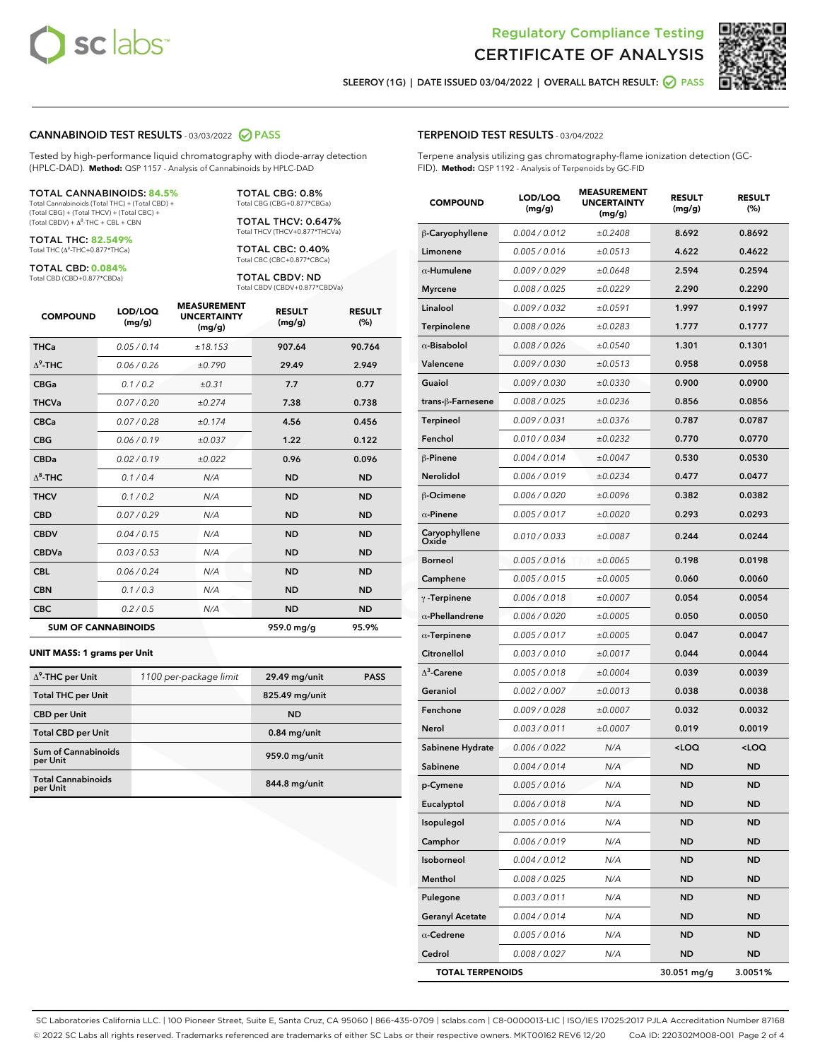



SLEEROY (1G) | DATE ISSUED 03/04/2022 | OVERALL BATCH RESULT: 0 PASS

#### CANNABINOID TEST RESULTS - 03/03/2022 2 PASS

Tested by high-performance liquid chromatography with diode-array detection (HPLC-DAD). **Method:** QSP 1157 - Analysis of Cannabinoids by HPLC-DAD

#### TOTAL CANNABINOIDS: **84.5%**

Total Cannabinoids (Total THC) + (Total CBD) + (Total CBG) + (Total THCV) + (Total CBC) +  $(Total CBDV) +  $\Delta^8$ -THC + CBL + CBN$ 

TOTAL THC: **82.549%** Total THC (Δ<sup>9</sup> -THC+0.877\*THCa)

TOTAL CBD: **0.084%** Total CBD (CBD+0.877\*CBDa)

TOTAL CBG: 0.8% Total CBG (CBG+0.877\*CBGa)

TOTAL THCV: 0.647% Total THCV (THCV+0.877\*THCVa)

TOTAL CBC: 0.40% Total CBC (CBC+0.877\*CBCa)

TOTAL CBDV: ND Total CBDV (CBDV+0.877\*CBDVa)

| <b>COMPOUND</b>  | LOD/LOQ<br>(mg/g)          | <b>MEASUREMENT</b><br><b>UNCERTAINTY</b><br>(mg/g) | <b>RESULT</b><br>(mg/g) | <b>RESULT</b><br>(%) |
|------------------|----------------------------|----------------------------------------------------|-------------------------|----------------------|
| <b>THCa</b>      | 0.05/0.14                  | ±18.153                                            | 907.64                  | 90.764               |
| $\Lambda^9$ -THC | 0.06 / 0.26                | ±0.790                                             | 29.49                   | 2.949                |
| <b>CBGa</b>      | 0.1 / 0.2                  | $\pm 0.31$                                         | 7.7                     | 0.77                 |
| <b>THCVa</b>     | 0.07/0.20                  | ±0.274                                             | 7.38                    | 0.738                |
| <b>CBCa</b>      | 0.07 / 0.28                | ±0.174                                             | 4.56                    | 0.456                |
| <b>CBG</b>       | 0.06/0.19                  | ±0.037                                             | 1.22                    | 0.122                |
| <b>CBDa</b>      | 0.02/0.19                  | ±0.022                                             | 0.96                    | 0.096                |
| $\Lambda^8$ -THC | 0.1 / 0.4                  | N/A                                                | <b>ND</b>               | <b>ND</b>            |
| <b>THCV</b>      | 0.1 / 0.2                  | N/A                                                | <b>ND</b>               | <b>ND</b>            |
| <b>CBD</b>       | 0.07/0.29                  | N/A                                                | <b>ND</b>               | <b>ND</b>            |
| <b>CBDV</b>      | 0.04 / 0.15                | N/A                                                | <b>ND</b>               | <b>ND</b>            |
| <b>CBDVa</b>     | 0.03 / 0.53                | N/A                                                | <b>ND</b>               | <b>ND</b>            |
| <b>CBL</b>       | 0.06 / 0.24                | N/A                                                | <b>ND</b>               | <b>ND</b>            |
| <b>CBN</b>       | 0.1 / 0.3                  | N/A                                                | <b>ND</b>               | <b>ND</b>            |
| <b>CBC</b>       | 0.2 / 0.5                  | N/A                                                | <b>ND</b>               | <b>ND</b>            |
|                  | <b>SUM OF CANNABINOIDS</b> |                                                    | 959.0 mg/g              | 95.9%                |

#### **UNIT MASS: 1 grams per Unit**

| $\Delta^9$ -THC per Unit              | 1100 per-package limit | 29.49 mg/unit  | <b>PASS</b> |
|---------------------------------------|------------------------|----------------|-------------|
| <b>Total THC per Unit</b>             |                        | 825.49 mg/unit |             |
| <b>CBD</b> per Unit                   |                        | <b>ND</b>      |             |
| <b>Total CBD per Unit</b>             |                        | $0.84$ mg/unit |             |
| Sum of Cannabinoids<br>per Unit       |                        | 959.0 mg/unit  |             |
| <b>Total Cannabinoids</b><br>per Unit |                        | 844.8 mg/unit  |             |

#### TERPENOID TEST RESULTS - 03/04/2022

Terpene analysis utilizing gas chromatography-flame ionization detection (GC-FID). **Method:** QSP 1192 - Analysis of Terpenoids by GC-FID

| <b>COMPOUND</b>         | LOD/LOQ<br>(mg/g) | <b>MEASUREMENT</b><br><b>UNCERTAINTY</b><br>(mg/g) | <b>RESULT</b><br>(mg/g)                         | <b>RESULT</b><br>(%) |
|-------------------------|-------------------|----------------------------------------------------|-------------------------------------------------|----------------------|
| β-Caryophyllene         | 0.004 / 0.012     | ±0.2408                                            | 8.692                                           | 0.8692               |
| Limonene                | 0.005 / 0.016     | ±0.0513                                            | 4.622                                           | 0.4622               |
| $\alpha$ -Humulene      | 0.009/0.029       | ±0.0648                                            | 2.594                                           | 0.2594               |
| <b>Myrcene</b>          | 0.008 / 0.025     | ±0.0229                                            | 2.290                                           | 0.2290               |
| Linalool                | 0.009 / 0.032     | ±0.0591                                            | 1.997                                           | 0.1997               |
| Terpinolene             | 0.008 / 0.026     | ±0.0283                                            | 1.777                                           | 0.1777               |
| $\alpha$ -Bisabolol     | 0.008 / 0.026     | ±0.0540                                            | 1.301                                           | 0.1301               |
| Valencene               | 0.009 / 0.030     | ±0.0513                                            | 0.958                                           | 0.0958               |
| Guaiol                  | 0.009 / 0.030     | ±0.0330                                            | 0.900                                           | 0.0900               |
| trans-ß-Farnesene       | 0.008 / 0.025     | ±0.0236                                            | 0.856                                           | 0.0856               |
| <b>Terpineol</b>        | 0.009 / 0.031     | ±0.0376                                            | 0.787                                           | 0.0787               |
| Fenchol                 | 0.010 / 0.034     | ±0.0232                                            | 0.770                                           | 0.0770               |
| $\beta$ -Pinene         | 0.004 / 0.014     | ±0.0047                                            | 0.530                                           | 0.0530               |
| Nerolidol               | 0.006 / 0.019     | ±0.0234                                            | 0.477                                           | 0.0477               |
| <b>B-Ocimene</b>        | 0.006 / 0.020     | ±0.0096                                            | 0.382                                           | 0.0382               |
| $\alpha$ -Pinene        | 0.005 / 0.017     | ±0.0020                                            | 0.293                                           | 0.0293               |
| Caryophyllene<br>Oxide  | 0.010 / 0.033     | ±0.0087                                            | 0.244                                           | 0.0244               |
| <b>Borneol</b>          | 0.005 / 0.016     | ±0.0065                                            | 0.198                                           | 0.0198               |
| Camphene                | 0.005 / 0.015     | ±0.0005                                            | 0.060                                           | 0.0060               |
| $\gamma$ -Terpinene     | 0.006 / 0.018     | ±0.0007                                            | 0.054                                           | 0.0054               |
| $\alpha$ -Phellandrene  | 0.006 / 0.020     | ±0.0005                                            | 0.050                                           | 0.0050               |
| $\alpha$ -Terpinene     | 0.005 / 0.017     | ±0.0005                                            | 0.047                                           | 0.0047               |
| Citronellol             | 0.003 / 0.010     | ±0.0017                                            | 0.044                                           | 0.0044               |
| $\Delta^3$ -Carene      | 0.005 / 0.018     | ±0.0004                                            | 0.039                                           | 0.0039               |
| Geraniol                | 0.002 / 0.007     | ±0.0013                                            | 0.038                                           | 0.0038               |
| Fenchone                | 0.009 / 0.028     | ±0.0007                                            | 0.032                                           | 0.0032               |
| <b>Nerol</b>            | 0.003 / 0.011     | ±0.0007                                            | 0.019                                           | 0.0019               |
| Sabinene Hydrate        | 0.006 / 0.022     | N/A                                                | <loq< th=""><th><loq< th=""></loq<></th></loq<> | <loq< th=""></loq<>  |
| Sabinene                | 0.004 / 0.014     | N/A                                                | <b>ND</b>                                       | <b>ND</b>            |
| p-Cymene                | 0.005 / 0.016     | N/A                                                | <b>ND</b>                                       | <b>ND</b>            |
| Eucalyptol              | 0.006 / 0.018     | N/A                                                | ND                                              | ND                   |
| Isopulegol              | 0.005 / 0.016     | N/A                                                | <b>ND</b>                                       | <b>ND</b>            |
| Camphor                 | 0.006 / 0.019     | N/A                                                | <b>ND</b>                                       | <b>ND</b>            |
| Isoborneol              | 0.004 / 0.012     | N/A                                                | ND                                              | <b>ND</b>            |
| Menthol                 | 0.008 / 0.025     | N/A                                                | ND                                              | ND                   |
| Pulegone                | 0.003 / 0.011     | N/A                                                | <b>ND</b>                                       | <b>ND</b>            |
| <b>Geranyl Acetate</b>  | 0.004 / 0.014     | N/A                                                | ND                                              | <b>ND</b>            |
| $\alpha$ -Cedrene       | 0.005 / 0.016     | N/A                                                | <b>ND</b>                                       | ND                   |
| Cedrol                  | 0.008 / 0.027     | N/A                                                | <b>ND</b>                                       | ND                   |
| <b>TOTAL TERPENOIDS</b> |                   |                                                    | 30.051 mg/g                                     | 3.0051%              |

SC Laboratories California LLC. | 100 Pioneer Street, Suite E, Santa Cruz, CA 95060 | 866-435-0709 | sclabs.com | C8-0000013-LIC | ISO/IES 17025:2017 PJLA Accreditation Number 87168 © 2022 SC Labs all rights reserved. Trademarks referenced are trademarks of either SC Labs or their respective owners. MKT00162 REV6 12/20 CoA ID: 220302M008-001 Page 2 of 4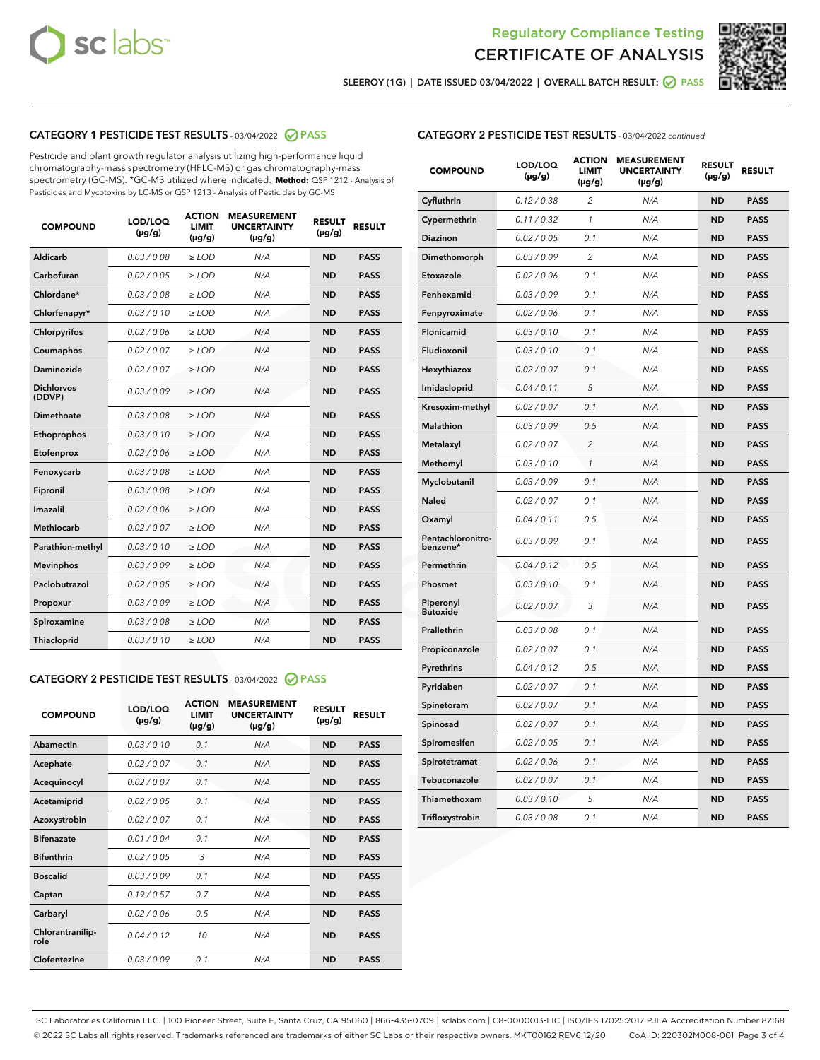



SLEEROY (1G) | DATE ISSUED 03/04/2022 | OVERALL BATCH RESULT: 0 PASS

# CATEGORY 1 PESTICIDE TEST RESULTS - 03/04/2022 2 PASS

Pesticide and plant growth regulator analysis utilizing high-performance liquid chromatography-mass spectrometry (HPLC-MS) or gas chromatography-mass spectrometry (GC-MS). \*GC-MS utilized where indicated. **Method:** QSP 1212 - Analysis of Pesticides and Mycotoxins by LC-MS or QSP 1213 - Analysis of Pesticides by GC-MS

| <b>COMPOUND</b>             | LOD/LOQ<br>$(\mu g/g)$ | <b>ACTION</b><br>LIMIT<br>$(\mu g/g)$ | <b>MEASUREMENT</b><br><b>UNCERTAINTY</b><br>$(\mu g/g)$ | <b>RESULT</b><br>$(\mu g/g)$ | <b>RESULT</b> |
|-----------------------------|------------------------|---------------------------------------|---------------------------------------------------------|------------------------------|---------------|
| <b>Aldicarb</b>             | 0.03 / 0.08            | $\geq$ LOD                            | N/A                                                     | <b>ND</b>                    | <b>PASS</b>   |
| Carbofuran                  | 0.02 / 0.05            | $\ge$ LOD                             | N/A                                                     | <b>ND</b>                    | <b>PASS</b>   |
| Chlordane*                  | 0.03/0.08              | $>$ LOD                               | N/A                                                     | <b>ND</b>                    | <b>PASS</b>   |
| Chlorfenapyr*               | 0.03/0.10              | $>$ LOD                               | N/A                                                     | <b>ND</b>                    | <b>PASS</b>   |
| Chlorpyrifos                | 0.02 / 0.06            | $>$ LOD                               | N/A                                                     | <b>ND</b>                    | <b>PASS</b>   |
| Coumaphos                   | 0.02 / 0.07            | $\geq$ LOD                            | N/A                                                     | <b>ND</b>                    | <b>PASS</b>   |
| <b>Daminozide</b>           | 0.02 / 0.07            | $\ge$ LOD                             | N/A                                                     | <b>ND</b>                    | <b>PASS</b>   |
| <b>Dichlorvos</b><br>(DDVP) | 0.03/0.09              | $\geq$ LOD                            | N/A                                                     | <b>ND</b>                    | <b>PASS</b>   |
| Dimethoate                  | 0.03 / 0.08            | $>$ LOD                               | N/A                                                     | <b>ND</b>                    | <b>PASS</b>   |
| Ethoprophos                 | 0.03/0.10              | $\geq$ LOD                            | N/A                                                     | <b>ND</b>                    | <b>PASS</b>   |
| Etofenprox                  | 0.02 / 0.06            | > LOD                                 | N/A                                                     | <b>ND</b>                    | <b>PASS</b>   |
| Fenoxycarb                  | 0.03 / 0.08            | $\geq$ LOD                            | N/A                                                     | <b>ND</b>                    | <b>PASS</b>   |
| Fipronil                    | 0.03 / 0.08            | $\ge$ LOD                             | N/A                                                     | <b>ND</b>                    | <b>PASS</b>   |
| Imazalil                    | 0.02 / 0.06            | $\ge$ LOD                             | N/A                                                     | <b>ND</b>                    | <b>PASS</b>   |
| <b>Methiocarb</b>           | 0.02 / 0.07            | $\ge$ LOD                             | N/A                                                     | <b>ND</b>                    | <b>PASS</b>   |
| Parathion-methyl            | 0.03/0.10              | > LOD                                 | N/A                                                     | <b>ND</b>                    | <b>PASS</b>   |
| <b>Mevinphos</b>            | 0.03/0.09              | $\ge$ LOD                             | N/A                                                     | <b>ND</b>                    | <b>PASS</b>   |
| Paclobutrazol               | 0.02 / 0.05            | $\ge$ LOD                             | N/A                                                     | <b>ND</b>                    | <b>PASS</b>   |
| Propoxur                    | 0.03 / 0.09            | $\geq$ LOD                            | N/A                                                     | <b>ND</b>                    | <b>PASS</b>   |
| Spiroxamine                 | 0.03 / 0.08            | $\ge$ LOD                             | N/A                                                     | <b>ND</b>                    | <b>PASS</b>   |
| Thiacloprid                 | 0.03/0.10              | $>$ LOD                               | N/A                                                     | <b>ND</b>                    | <b>PASS</b>   |

# CATEGORY 2 PESTICIDE TEST RESULTS - 03/04/2022 @ PASS

| <b>COMPOUND</b>          | LOD/LOO<br>$(\mu g/g)$ | <b>ACTION</b><br><b>LIMIT</b><br>$(\mu g/g)$ | <b>MEASUREMENT</b><br><b>UNCERTAINTY</b><br>$(\mu g/g)$ | <b>RESULT</b><br>$(\mu g/g)$ | <b>RESULT</b> |  |
|--------------------------|------------------------|----------------------------------------------|---------------------------------------------------------|------------------------------|---------------|--|
| Abamectin                | 0.03/0.10              | 0.1                                          | N/A                                                     | <b>ND</b>                    | <b>PASS</b>   |  |
| Acephate                 | 0.02/0.07              | 0.1                                          | N/A                                                     | <b>ND</b>                    | <b>PASS</b>   |  |
| Acequinocyl              | 0.02/0.07              | 0.1                                          | N/A                                                     | <b>ND</b>                    | <b>PASS</b>   |  |
| Acetamiprid              | 0.02/0.05              | 0.1                                          | N/A                                                     | <b>ND</b>                    | <b>PASS</b>   |  |
| Azoxystrobin             | 0.02/0.07              | 0.1                                          | N/A                                                     | <b>ND</b>                    | <b>PASS</b>   |  |
| <b>Bifenazate</b>        | 0.01/0.04              | 0.1                                          | N/A                                                     | <b>ND</b>                    | <b>PASS</b>   |  |
| <b>Bifenthrin</b>        | 0.02 / 0.05            | 3                                            | N/A                                                     | <b>ND</b>                    | <b>PASS</b>   |  |
| <b>Boscalid</b>          | 0.03/0.09              | 0.1                                          | N/A                                                     | <b>ND</b>                    | <b>PASS</b>   |  |
| Captan                   | 0.19/0.57              | 0.7                                          | N/A                                                     | <b>ND</b>                    | <b>PASS</b>   |  |
| Carbaryl                 | 0.02/0.06              | 0.5                                          | N/A                                                     | <b>ND</b>                    | <b>PASS</b>   |  |
| Chlorantranilip-<br>role | 0.04/0.12              | 10                                           | N/A                                                     | <b>ND</b>                    | <b>PASS</b>   |  |
| Clofentezine             | 0.03/0.09              | 0.1                                          | N/A                                                     | <b>ND</b>                    | <b>PASS</b>   |  |

# CATEGORY 2 PESTICIDE TEST RESULTS - 03/04/2022 continued

| <b>COMPOUND</b>               | LOD/LOQ<br>(µg/g) | <b>ACTION</b><br>LIMIT<br>$(\mu g/g)$ | <b>MEASUREMENT</b><br><b>UNCERTAINTY</b><br>$(\mu g/g)$ | <b>RESULT</b><br>(µg/g) | <b>RESULT</b> |
|-------------------------------|-------------------|---------------------------------------|---------------------------------------------------------|-------------------------|---------------|
| Cyfluthrin                    | 0.12 / 0.38       | 2                                     | N/A                                                     | <b>ND</b>               | <b>PASS</b>   |
| Cypermethrin                  | 0.11 / 0.32       | 1                                     | N/A                                                     | <b>ND</b>               | <b>PASS</b>   |
| Diazinon                      | 0.02 / 0.05       | 0.1                                   | N/A                                                     | ND                      | <b>PASS</b>   |
| Dimethomorph                  | 0.03 / 0.09       | $\overline{c}$                        | N/A                                                     | <b>ND</b>               | <b>PASS</b>   |
| Etoxazole                     | 0.02 / 0.06       | 0.1                                   | N/A                                                     | <b>ND</b>               | <b>PASS</b>   |
| Fenhexamid                    | 0.03 / 0.09       | 0.1                                   | N/A                                                     | ND                      | <b>PASS</b>   |
| Fenpyroximate                 | 0.02 / 0.06       | 0.1                                   | N/A                                                     | ND                      | <b>PASS</b>   |
| Flonicamid                    | 0.03 / 0.10       | 0.1                                   | N/A                                                     | <b>ND</b>               | <b>PASS</b>   |
| Fludioxonil                   | 0.03 / 0.10       | 0.1                                   | N/A                                                     | ND                      | <b>PASS</b>   |
| Hexythiazox                   | 0.02 / 0.07       | 0.1                                   | N/A                                                     | <b>ND</b>               | <b>PASS</b>   |
| Imidacloprid                  | 0.04 / 0.11       | 5                                     | N/A                                                     | <b>ND</b>               | <b>PASS</b>   |
| Kresoxim-methyl               | 0.02 / 0.07       | 0.1                                   | N/A                                                     | ND                      | <b>PASS</b>   |
| <b>Malathion</b>              | 0.03 / 0.09       | 0.5                                   | N/A                                                     | <b>ND</b>               | <b>PASS</b>   |
| Metalaxyl                     | 0.02 / 0.07       | $\overline{c}$                        | N/A                                                     | <b>ND</b>               | <b>PASS</b>   |
| Methomyl                      | 0.03 / 0.10       | $\mathcal{I}$                         | N/A                                                     | <b>ND</b>               | <b>PASS</b>   |
| Myclobutanil                  | 0.03 / 0.09       | 0.1                                   | N/A                                                     | <b>ND</b>               | <b>PASS</b>   |
| Naled                         | 0.02 / 0.07       | 0.1                                   | N/A                                                     | <b>ND</b>               | <b>PASS</b>   |
| Oxamyl                        | 0.04 / 0.11       | 0.5                                   | N/A                                                     | ND                      | <b>PASS</b>   |
| Pentachloronitro-<br>benzene* | 0.03 / 0.09       | 0.1                                   | N/A                                                     | <b>ND</b>               | <b>PASS</b>   |
| Permethrin                    | 0.04 / 0.12       | 0.5                                   | N/A                                                     | <b>ND</b>               | <b>PASS</b>   |
| Phosmet                       | 0.03 / 0.10       | 0.1                                   | N/A                                                     | ND                      | <b>PASS</b>   |
| Piperonyl<br><b>Butoxide</b>  | 0.02 / 0.07       | 3                                     | N/A                                                     | <b>ND</b>               | <b>PASS</b>   |
| Prallethrin                   | 0.03 / 0.08       | 0.1                                   | N/A                                                     | <b>ND</b>               | <b>PASS</b>   |
| Propiconazole                 | 0.02 / 0.07       | 0.1                                   | N/A                                                     | ND                      | <b>PASS</b>   |
| Pyrethrins                    | 0.04 / 0.12       | 0.5                                   | N/A                                                     | ND                      | <b>PASS</b>   |
| Pyridaben                     | 0.02 / 0.07       | 0.1                                   | N/A                                                     | <b>ND</b>               | <b>PASS</b>   |
| Spinetoram                    | 0.02 / 0.07       | 0.1                                   | N/A                                                     | ND                      | <b>PASS</b>   |
| Spinosad                      | 0.02 / 0.07       | 0.1                                   | N/A                                                     | <b>ND</b>               | <b>PASS</b>   |
| Spiromesifen                  | 0.02 / 0.05       | 0.1                                   | N/A                                                     | ND                      | <b>PASS</b>   |
| Spirotetramat                 | 0.02 / 0.06       | 0.1                                   | N/A                                                     | ND                      | <b>PASS</b>   |
| Tebuconazole                  | 0.02 / 0.07       | 0.1                                   | N/A                                                     | <b>ND</b>               | <b>PASS</b>   |
| Thiamethoxam                  | 0.03/0.10         | 5                                     | N/A                                                     | ND                      | <b>PASS</b>   |
| Trifloxystrobin               | 0.03 / 0.08       | 0.1                                   | N/A                                                     | <b>ND</b>               | <b>PASS</b>   |

SC Laboratories California LLC. | 100 Pioneer Street, Suite E, Santa Cruz, CA 95060 | 866-435-0709 | sclabs.com | C8-0000013-LIC | ISO/IES 17025:2017 PJLA Accreditation Number 87168 © 2022 SC Labs all rights reserved. Trademarks referenced are trademarks of either SC Labs or their respective owners. MKT00162 REV6 12/20 CoA ID: 220302M008-001 Page 3 of 4